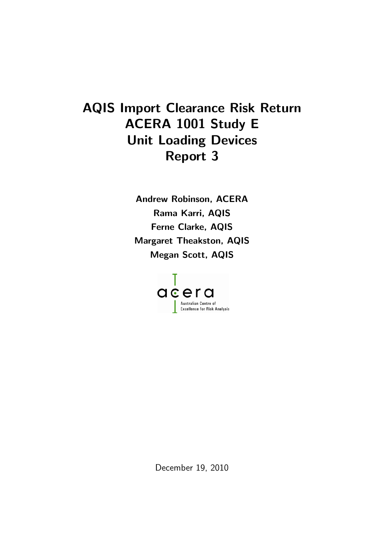# AQIS Import Clearance Risk Return ACERA 1001 Study E Unit Loading Devices Report 3

Andrew Robinson, ACERA Rama Karri, AQIS Ferne Clarke, AQIS Margaret Theakston, AQIS Megan Scott, AQIS



December 19, 2010 and will allocate effort and will allocate effort and will among the effort among that will among the effort among the effort among the effort among the effort among the effort among the effort among the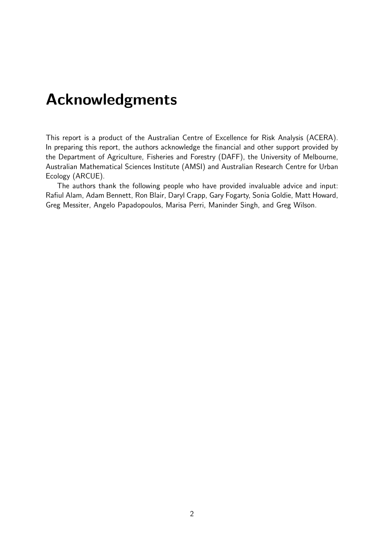# <span id="page-1-0"></span>Acknowledgments

This report is a product of the Australian Centre of Excellence for Risk Analysis (ACERA). In preparing this report, the authors acknowledge the financial and other support provided by the Department of Agriculture, Fisheries and Forestry (DAFF), the University of Melbourne, Australian Mathematical Sciences Institute (AMSI) and Australian Research Centre for Urban Ecology (ARCUE).

The authors thank the following people who have provided invaluable advice and input: Rafiul Alam, Adam Bennett, Ron Blair, Daryl Crapp, Gary Fogarty, Sonia Goldie, Matt Howard, Greg Messiter, Angelo Papadopoulos, Marisa Perri, Maninder Singh, and Greg Wilson.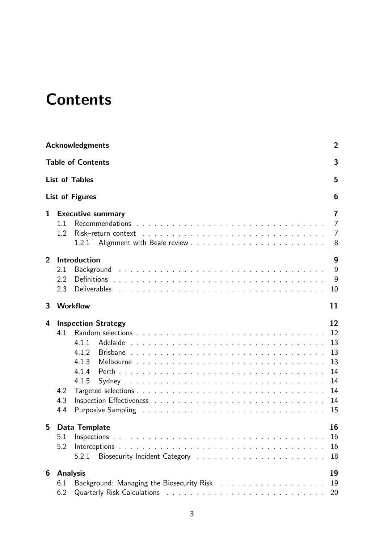# **Contents**

|                | <b>Acknowledgments</b><br>2   |                                                                                                                                                                                            |                                                          |  |  |  |  |  |  |  |
|----------------|-------------------------------|--------------------------------------------------------------------------------------------------------------------------------------------------------------------------------------------|----------------------------------------------------------|--|--|--|--|--|--|--|
|                | <b>Table of Contents</b><br>3 |                                                                                                                                                                                            |                                                          |  |  |  |  |  |  |  |
|                | <b>List of Tables</b><br>5    |                                                                                                                                                                                            |                                                          |  |  |  |  |  |  |  |
|                |                               | <b>List of Figures</b>                                                                                                                                                                     | 6                                                        |  |  |  |  |  |  |  |
| $\mathbf{1}$   | 1.1<br>1.2                    | <b>Executive summary</b><br>Recommendations $\ldots$ , $\ldots$ , $\ldots$ , $\ldots$ , $\ldots$ , $\ldots$ , $\ldots$ , $\ldots$ , $\ldots$ , $\ldots$ , $\ldots$<br>1.2.1                | $\overline{7}$<br>$\overline{7}$<br>7<br>8               |  |  |  |  |  |  |  |
| $\overline{2}$ | 2.1<br>2.2<br>2.3             | Introduction<br>Background<br><b>Deliverables</b>                                                                                                                                          | 9<br>9<br>9<br>10                                        |  |  |  |  |  |  |  |
| 3              |                               | <b>Workflow</b>                                                                                                                                                                            | 11                                                       |  |  |  |  |  |  |  |
| 4              | 4.1<br>4.2<br>4.3<br>4.4      | <b>Inspection Strategy</b><br>4.1.1<br>4.1.2<br>4.1.3<br>4.1.4<br>4.1.5<br>Purposive Sampling research and the contract of the contract of the contract of the contract of the contract of | 12<br>12<br>13<br>13<br>13<br>14<br>14<br>14<br>14<br>15 |  |  |  |  |  |  |  |
| 5              | 5.1<br>5.2                    | Data Template<br>5.2.1                                                                                                                                                                     | 16<br>16<br>16<br>18                                     |  |  |  |  |  |  |  |
| 6              | <b>Analysis</b><br>6.1<br>6.2 |                                                                                                                                                                                            | 19<br>19<br>20                                           |  |  |  |  |  |  |  |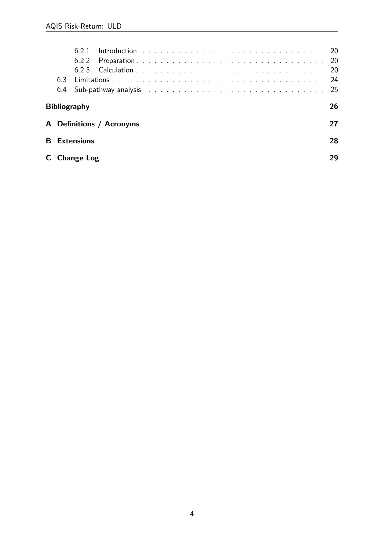|    |                           | 623               |                          |  |  |  |  |  |  |  |     |  |  |  |  |  |  |  |  |  |  | -20 |  |
|----|---------------------------|-------------------|--------------------------|--|--|--|--|--|--|--|-----|--|--|--|--|--|--|--|--|--|--|-----|--|
|    | 63                        |                   |                          |  |  |  |  |  |  |  | -24 |  |  |  |  |  |  |  |  |  |  |     |  |
|    | 6.4                       |                   |                          |  |  |  |  |  |  |  |     |  |  |  |  |  |  |  |  |  |  |     |  |
|    | 26<br><b>Bibliography</b> |                   |                          |  |  |  |  |  |  |  |     |  |  |  |  |  |  |  |  |  |  |     |  |
|    |                           |                   | A Definitions / Acronyms |  |  |  |  |  |  |  |     |  |  |  |  |  |  |  |  |  |  |     |  |
| B. | 28<br><b>Extensions</b>   |                   |                          |  |  |  |  |  |  |  |     |  |  |  |  |  |  |  |  |  |  |     |  |
| C. |                           | <b>Change Log</b> |                          |  |  |  |  |  |  |  |     |  |  |  |  |  |  |  |  |  |  |     |  |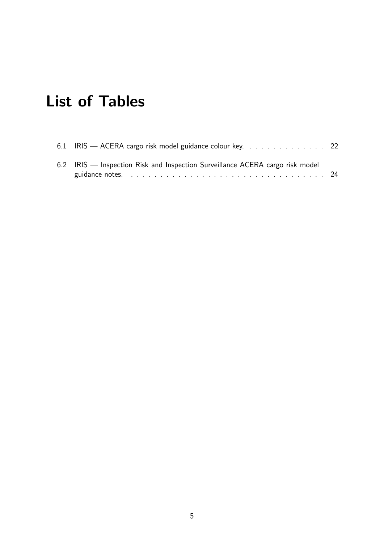# <span id="page-4-0"></span>List of Tables

| 6.1 IRIS — ACERA cargo risk model guidance colour key. 22                     |  |
|-------------------------------------------------------------------------------|--|
| 6.2 IRIS — Inspection Risk and Inspection Surveillance ACERA cargo risk model |  |
|                                                                               |  |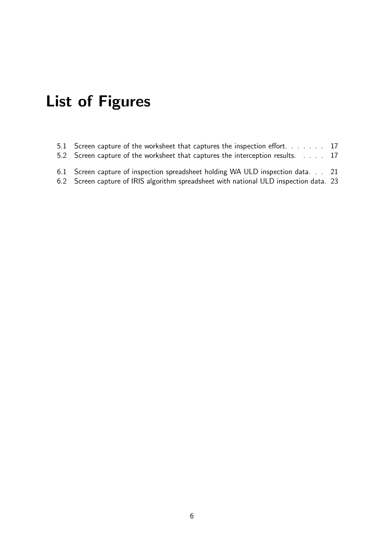# <span id="page-5-0"></span>List of Figures

- [5.1 Screen capture of the worksheet that captures the inspection effort.](#page-15-3) . . . . . . 17
- [5.2 Screen capture of the worksheet that captures the interception results.](#page-16-0) . . . . 17
- [6.1 Screen capture of inspection spreadsheet holding WA ULD inspection data.](#page-19-2) . . 21
- [6.2 Screen capture of IRIS algorithm spreadsheet with national ULD inspection data.](#page-21-0) 23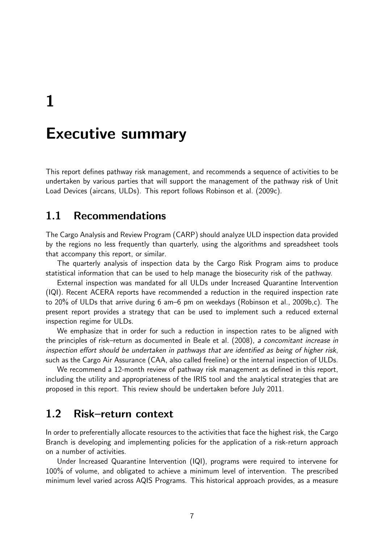<span id="page-6-0"></span>1

# Executive summary

This report defines pathway risk management, and recommends a sequence of activities to be undertaken by various parties that will support the management of the pathway risk of Unit Load Devices (aircans, ULDs). This report follows [Robinson et al.](#page-25-1) [\(2009c\)](#page-25-1).

### <span id="page-6-1"></span>1.1 Recommendations

The Cargo Analysis and Review Program (CARP) should analyze ULD inspection data provided by the regions no less frequently than quarterly, using the algorithms and spreadsheet tools that accompany this report, or similar.

The quarterly analysis of inspection data by the Cargo Risk Program aims to produce statistical information that can be used to help manage the biosecurity risk of the pathway.

External inspection was mandated for all ULDs under Increased Quarantine Intervention (IQI). Recent ACERA reports have recommended a reduction in the required inspection rate to 20% of ULDs that arrive during 6 am–6 pm on weekdays [\(Robinson et al.,](#page-25-2) [2009b,](#page-25-2)[c\)](#page-25-1). The present report provides a strategy that can be used to implement such a reduced external inspection regime for ULDs.

We emphasize that in order for such a reduction in inspection rates to be aligned with the principles of risk–return as documented in [Beale et al.](#page-25-3) [\(2008\)](#page-25-3), a concomitant increase in inspection effort should be undertaken in pathways that are identified as being of higher risk, such as the Cargo Air Assurance (CAA, also called freeline) or the internal inspection of ULDs.

We recommend a 12-month review of pathway risk management as defined in this report, including the utility and appropriateness of the IRIS tool and the analytical strategies that are proposed in this report. This review should be undertaken before July 2011.

### <span id="page-6-2"></span>1.2 Risk–return context

In order to preferentially allocate resources to the activities that face the highest risk, the Cargo Branch is developing and implementing policies for the application of a risk-return approach on a number of activities.

Under Increased Quarantine Intervention (IQI), programs were required to intervene for 100% of volume, and obligated to achieve a minimum level of intervention. The prescribed minimum level varied across AQIS Programs. This historical approach provides, as a measure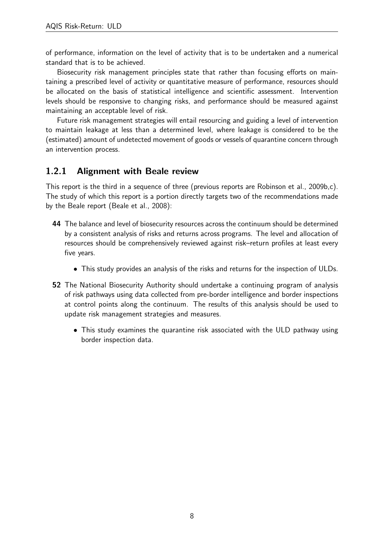of performance, information on the level of activity that is to be undertaken and a numerical standard that is to be achieved.

Biosecurity risk management principles state that rather than focusing efforts on maintaining a prescribed level of activity or quantitative measure of performance, resources should be allocated on the basis of statistical intelligence and scientific assessment. Intervention levels should be responsive to changing risks, and performance should be measured against maintaining an acceptable level of risk.

Future risk management strategies will entail resourcing and guiding a level of intervention to maintain leakage at less than a determined level, where leakage is considered to be the (estimated) amount of undetected movement of goods or vessels of quarantine concern through an intervention process.

#### <span id="page-7-0"></span>1.2.1 Alignment with Beale review

This report is the third in a sequence of three (previous reports are [Robinson et al.,](#page-25-2) [2009b,](#page-25-2)[c\)](#page-25-1). The study of which this report is a portion directly targets two of the recommendations made by the Beale report [\(Beale et al.,](#page-25-3) [2008\)](#page-25-3):

- 44 The balance and level of biosecurity resources across the continuum should be determined by a consistent analysis of risks and returns across programs. The level and allocation of resources should be comprehensively reviewed against risk–return profiles at least every five years.
	- This study provides an analysis of the risks and returns for the inspection of ULDs.
- 52 The National Biosecurity Authority should undertake a continuing program of analysis of risk pathways using data collected from pre-border intelligence and border inspections at control points along the continuum. The results of this analysis should be used to update risk management strategies and measures.
	- This study examines the quarantine risk associated with the ULD pathway using border inspection data.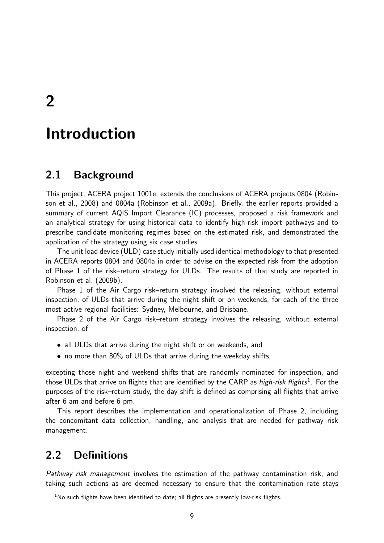<span id="page-8-0"></span>2

# Introduction

### <span id="page-8-1"></span>2.1 Background

This project, ACERA project 1001e, extends the conclusions of ACERA projects 0804 [\(Robin](#page-25-4)[son et al.,](#page-25-4) [2008\)](#page-25-4) and 0804a [\(Robinson et al.,](#page-25-5) [2009a\)](#page-25-5). Briefly, the earlier reports provided a summary of current AQIS Import Clearance (IC) processes, proposed a risk framework and an analytical strategy for using historical data to identify high-risk import pathways and to prescribe candidate monitoring regimes based on the estimated risk, and demonstrated the application of the strategy using six case studies.

The unit load device (ULD) case study initially used identical methodology to that presented in ACERA reports 0804 and 0804a in order to advise on the expected risk from the adoption of Phase 1 of the risk–return strategy for ULDs. The results of that study are reported in [Robinson et al.](#page-25-2) [\(2009b\)](#page-25-2).

Phase 1 of the Air Cargo risk–return strategy involved the releasing, without external inspection, of ULDs that arrive during the night shift or on weekends, for each of the three most active regional facilities: Sydney, Melbourne, and Brisbane.

Phase 2 of the Air Cargo risk–return strategy involves the releasing, without external inspection, of

- all ULDs that arrive during the night shift or on weekends, and
- no more than 80% of ULDs that arrive during the weekday shifts,

excepting those night and weekend shifts that are randomly nominated for inspection, and those ULDs that arrive on flights that are identified by the CARP as *high-risk flights*<sup>[1](#page-8-3)</sup>. For the purposes of the risk–return study, the day shift is defined as comprising all flights that arrive after 6 am and before 6 pm.

This report describes the implementation and operationalization of Phase 2, including the concomitant data collection, handling, and analysis that are needed for pathway risk management.

### <span id="page-8-2"></span>2.2 Definitions

Pathway risk management involves the estimation of the pathway contamination risk, and taking such actions as are deemed necessary to ensure that the contamination rate stays

<span id="page-8-3"></span><sup>&</sup>lt;sup>1</sup>No such flights have been identified to date; all flights are presently low-risk flights.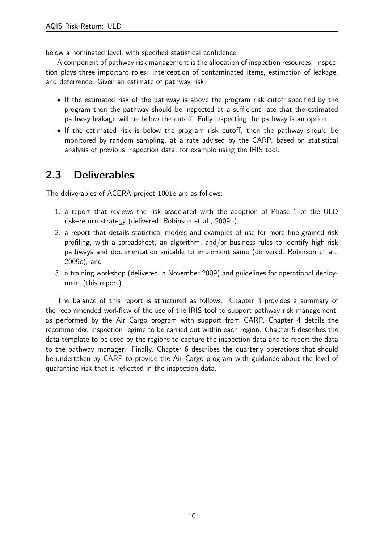below a nominated level, with specified statistical confidence.

A component of pathway risk management is the allocation of inspection resources. Inspection plays three important roles: interception of contaminated items, estimation of leakage, and deterrence. Given an estimate of pathway risk,

- If the estimated risk of the pathway is above the program risk cutoff specified by the program then the pathway should be inspected at a sufficient rate that the estimated pathway leakage will be below the cutoff. Fully inspecting the pathway is an option.
- If the estimated risk is below the program risk cutoff, then the pathway should be monitored by random sampling, at a rate advised by the CARP, based on statistical analysis of previous inspection data, for example using the IRIS tool.

## <span id="page-9-0"></span>2.3 Deliverables

The deliverables of ACERA project 1001e are as follows:

- 1. a report that reviews the risk associated with the adoption of Phase 1 of the ULD risk–return strategy (delivered: [Robinson et al.,](#page-25-2) [2009b\)](#page-25-2),
- 2. a report that details statistical models and examples of use for more fine-grained risk profiling, with a spreadsheet, an algorithm, and/or business rules to identify high-risk pathways and documentation suitable to implement same (delivered: [Robinson et al.,](#page-25-1) [2009c\)](#page-25-1), and
- 3. a training workshop (delivered in November 2009) and guidelines for operational deployment (this report).

The balance of this report is structured as follows. Chapter [3](#page-10-0) provides a summary of the recommended workflow of the use of the IRIS tool to support pathway risk management, as performed by the Air Cargo program with support from CARP. Chapter [4](#page-11-0) details the recommended inspection regime to be carried out within each region. Chapter [5](#page-15-0) describes the data template to be used by the regions to capture the inspection data and to report the data to the pathway manager. Finally, Chapter [6](#page-18-0) describes the quarterly operations that should be undertaken by CARP to provide the Air Cargo program with guidance about the level of quarantine risk that is reflected in the inspection data.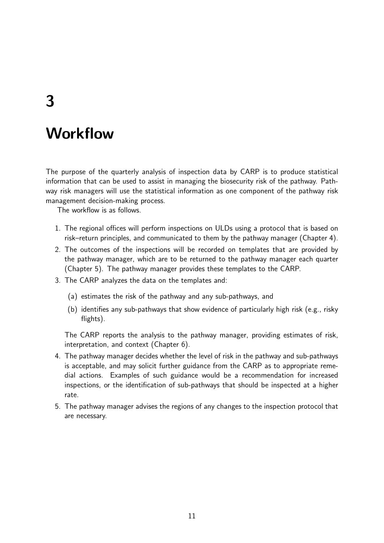# <span id="page-10-0"></span>3

# **Workflow**

The purpose of the quarterly analysis of inspection data by CARP is to produce statistical information that can be used to assist in managing the biosecurity risk of the pathway. Pathway risk managers will use the statistical information as one component of the pathway risk management decision-making process.

The workflow is as follows.

- 1. The regional offices will perform inspections on ULDs using a protocol that is based on risk–return principles, and communicated to them by the pathway manager (Chapter [4\)](#page-11-0).
- 2. The outcomes of the inspections will be recorded on templates that are provided by the pathway manager, which are to be returned to the pathway manager each quarter (Chapter [5\)](#page-15-0). The pathway manager provides these templates to the CARP.
- 3. The CARP analyzes the data on the templates and:
	- (a) estimates the risk of the pathway and any sub-pathways, and
	- (b) identifies any sub-pathways that show evidence of particularly high risk (e.g., risky flights).

The CARP reports the analysis to the pathway manager, providing estimates of risk, interpretation, and context (Chapter [6\)](#page-18-0).

- 4. The pathway manager decides whether the level of risk in the pathway and sub-pathways is acceptable, and may solicit further guidance from the CARP as to appropriate remedial actions. Examples of such guidance would be a recommendation for increased inspections, or the identification of sub-pathways that should be inspected at a higher rate.
- 5. The pathway manager advises the regions of any changes to the inspection protocol that are necessary.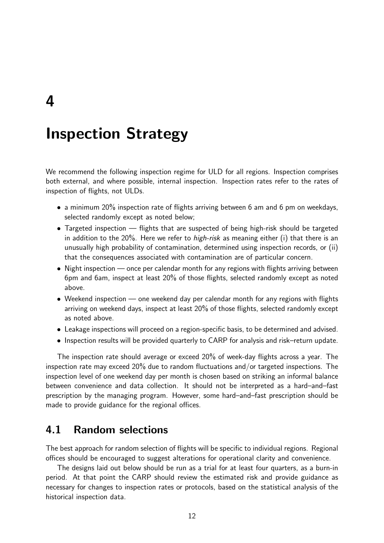<span id="page-11-0"></span>4

# Inspection Strategy

We recommend the following inspection regime for ULD for all regions. Inspection comprises both external, and where possible, internal inspection. Inspection rates refer to the rates of inspection of flights, not ULDs.

- a minimum 20% inspection rate of flights arriving between 6 am and 6 pm on weekdays, selected randomly except as noted below;
- Targeted inspection flights that are suspected of being high-risk should be targeted in addition to the 20%. Here we refer to *high-risk* as meaning either (i) that there is an unusually high probability of contamination, determined using inspection records, or (ii) that the consequences associated with contamination are of particular concern.
- Night inspection once per calendar month for any regions with flights arriving between 6pm and 6am, inspect at least 20% of those flights, selected randomly except as noted above.
- Weekend inspection one weekend day per calendar month for any regions with flights arriving on weekend days, inspect at least 20% of those flights, selected randomly except as noted above.
- Leakage inspections will proceed on a region-specific basis, to be determined and advised.
- Inspection results will be provided quarterly to CARP for analysis and risk–return update.

The inspection rate should average or exceed 20% of week-day flights across a year. The inspection rate may exceed 20% due to random fluctuations and/or targeted inspections. The inspection level of one weekend day per month is chosen based on striking an informal balance between convenience and data collection. It should not be interpreted as a hard–and–fast prescription by the managing program. However, some hard–and–fast prescription should be made to provide guidance for the regional offices.

### <span id="page-11-1"></span>4.1 Random selections

The best approach for random selection of flights will be specific to individual regions. Regional offices should be encouraged to suggest alterations for operational clarity and convenience.

The designs laid out below should be run as a trial for at least four quarters, as a burn-in period. At that point the CARP should review the estimated risk and provide guidance as necessary for changes to inspection rates or protocols, based on the statistical analysis of the historical inspection data.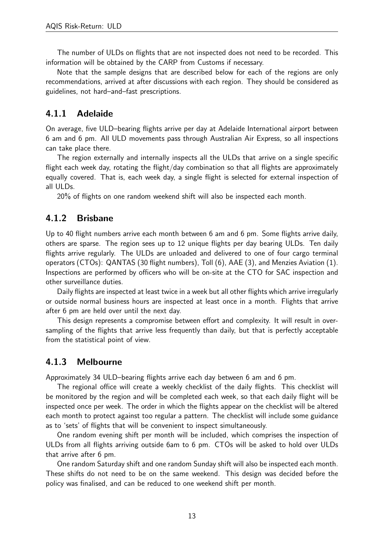The number of ULDs on flights that are not inspected does not need to be recorded. This information will be obtained by the CARP from Customs if necessary.

Note that the sample designs that are described below for each of the regions are only recommendations, arrived at after discussions with each region. They should be considered as guidelines, not hard–and–fast prescriptions.

#### <span id="page-12-0"></span>4.1.1 Adelaide

On average, five ULD–bearing flights arrive per day at Adelaide International airport between 6 am and 6 pm. All ULD movements pass through Australian Air Express, so all inspections can take place there.

The region externally and internally inspects all the ULDs that arrive on a single specific flight each week day, rotating the flight/day combination so that all flights are approximately equally covered. That is, each week day, a single flight is selected for external inspection of all ULDs.

20% of flights on one random weekend shift will also be inspected each month.

#### <span id="page-12-1"></span>4.1.2 Brisbane

Up to 40 flight numbers arrive each month between 6 am and 6 pm. Some flights arrive daily, others are sparse. The region sees up to 12 unique flights per day bearing ULDs. Ten daily flights arrive regularly. The ULDs are unloaded and delivered to one of four cargo terminal operators (CTOs): QANTAS (30 flight numbers), Toll (6), AAE (3), and Menzies Aviation (1). Inspections are performed by officers who will be on-site at the CTO for SAC inspection and other surveillance duties.

Daily flights are inspected at least twice in a week but all other flights which arrive irregularly or outside normal business hours are inspected at least once in a month. Flights that arrive after 6 pm are held over until the next day.

This design represents a compromise between effort and complexity. It will result in oversampling of the flights that arrive less frequently than daily, but that is perfectly acceptable from the statistical point of view.

#### <span id="page-12-2"></span>4.1.3 Melbourne

Approximately 34 ULD–bearing flights arrive each day between 6 am and 6 pm.

The regional office will create a weekly checklist of the daily flights. This checklist will be monitored by the region and will be completed each week, so that each daily flight will be inspected once per week. The order in which the flights appear on the checklist will be altered each month to protect against too regular a pattern. The checklist will include some guidance as to 'sets' of flights that will be convenient to inspect simultaneously.

One random evening shift per month will be included, which comprises the inspection of ULDs from all flights arriving outside 6am to 6 pm. CTOs will be asked to hold over ULDs that arrive after 6 pm.

One random Saturday shift and one random Sunday shift will also be inspected each month. These shifts do not need to be on the same weekend. This design was decided before the policy was finalised, and can be reduced to one weekend shift per month.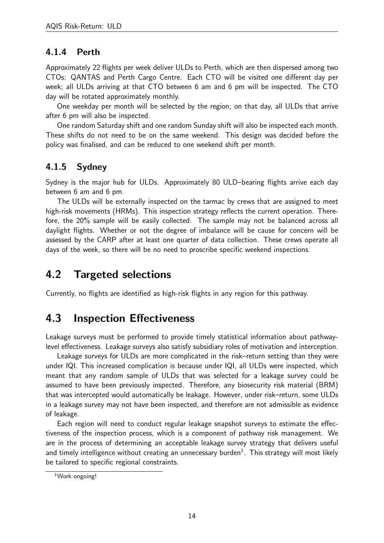#### <span id="page-13-0"></span>4.1.4 Perth

Approximately 22 flights per week deliver ULDs to Perth, which are then dispersed among two CTOs: QANTAS and Perth Cargo Centre. Each CTO will be visited one different day per week; all ULDs arriving at that CTO between 6 am and 6 pm will be inspected. The CTO day will be rotated approximately monthly.

One weekday per month will be selected by the region; on that day, all ULDs that arrive after 6 pm will also be inspected.

One random Saturday shift and one random Sunday shift will also be inspected each month. These shifts do not need to be on the same weekend. This design was decided before the policy was finalised, and can be reduced to one weekend shift per month.

#### <span id="page-13-1"></span>4.1.5 Sydney

Sydney is the major hub for ULDs. Approximately 80 ULD–bearing flights arrive each day between 6 am and 6 pm.

The ULDs will be externally inspected on the tarmac by crews that are assigned to meet high-risk movements (HRMs). This inspection strategy reflects the current operation. Therefore, the 20% sample will be easily collected. The sample may not be balanced across all daylight flights. Whether or not the degree of imbalance will be cause for concern will be assessed by the CARP after at least one quarter of data collection. These crews operate all days of the week, so there will be no need to proscribe specific weekend inspections.

## <span id="page-13-2"></span>4.2 Targeted selections

Currently, no flights are identified as high-risk flights in any region for this pathway.

## <span id="page-13-3"></span>4.3 Inspection Effectiveness

Leakage surveys must be performed to provide timely statistical information about pathwaylevel effectiveness. Leakage surveys also satisfy subsidiary roles of motivation and interception.

Leakage surveys for ULDs are more complicated in the risk–return setting than they were under IQI. This increased complication is because under IQI, all ULDs were inspected, which meant that any random sample of ULDs that was selected for a leakage survey could be assumed to have been previously inspected. Therefore, any biosecurity risk material (BRM) that was intercepted would automatically be leakage. However, under risk–return, some ULDs in a leakage survey may not have been inspected, and therefore are not admissible as evidence of leakage.

Each region will need to conduct regular leakage snapshot surveys to estimate the effectiveness of the inspection process, which is a component of pathway risk management. We are in the process of determining an acceptable leakage survey strategy that delivers useful and timely intelligence without creating an unnecessary burden $^1$  $^1$ . This strategy will most likely be tailored to specific regional constraints.

<span id="page-13-4"></span><sup>1</sup>Work ongoing!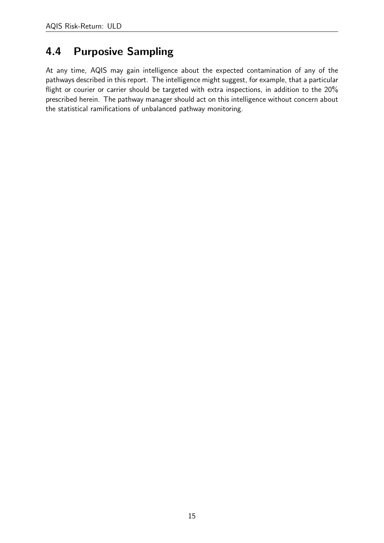## <span id="page-14-0"></span>4.4 Purposive Sampling

At any time, AQIS may gain intelligence about the expected contamination of any of the pathways described in this report. The intelligence might suggest, for example, that a particular flight or courier or carrier should be targeted with extra inspections, in addition to the 20% prescribed herein. The pathway manager should act on this intelligence without concern about the statistical ramifications of unbalanced pathway monitoring.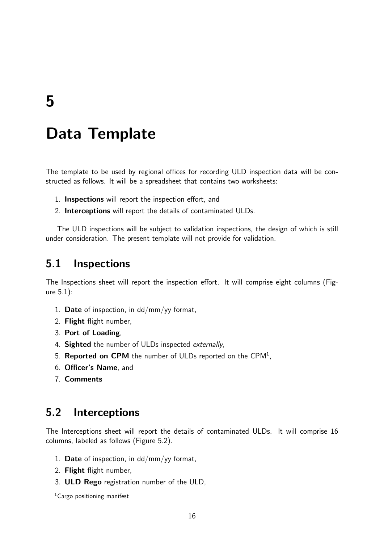# <span id="page-15-0"></span>Data Template

The template to be used by regional offices for recording ULD inspection data will be constructed as follows. It will be a spreadsheet that contains two worksheets:

- 1. Inspections will report the inspection effort, and
- 2. Interceptions will report the details of contaminated ULDs.

The ULD inspections will be subject to validation inspections, the design of which is still under consideration. The present template will not provide for validation.

### <span id="page-15-1"></span>5.1 Inspections

The Inspections sheet will report the inspection effort. It will comprise eight columns (Figure [5.1\)](#page-15-3):

- 1. Date of inspection, in  $dd/mm/yy$  format,
- 2. Flight flight number,
- 3. Port of Loading,
- 4. Sighted the number of ULDs inspected externally,
- 5. Reported on CPM the number of ULDs reported on the CPM<sup>[1](#page-15-4)</sup>,
- <span id="page-15-3"></span>6. Officer's Name, and
- 7. Comments

## <span id="page-15-2"></span>5.2 Interceptions

The Interceptions sheet will report the details of contaminated ULDs. It will comprise 16 columns, labeled as follows (Figure [5.2\)](#page-16-0).

- 1. Date of inspection, in  $dd/mm/yy$  format,
- 2. Flight flight number,
- 3. ULD Rego registration number of the ULD,

<span id="page-15-4"></span><sup>&</sup>lt;sup>1</sup>Cargo positioning manifest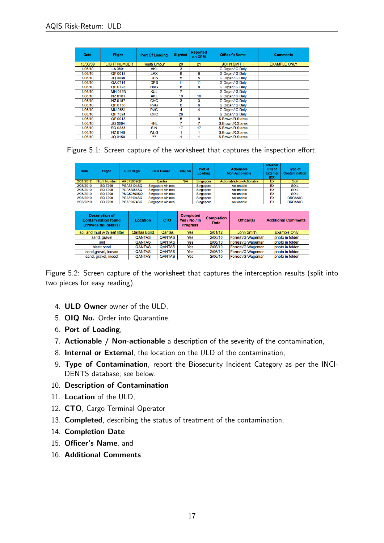| <b>Date</b> | <b>Flight</b>        | <b>Port Of Loading</b> | <b>Sighted</b> | <b>Reported</b><br>on CPM | <b>Officer's Name</b> | <b>Comments</b>     |
|-------------|----------------------|------------------------|----------------|---------------------------|-----------------------|---------------------|
| 15/03/09    | <b>FLIGHT NUMBER</b> | Kuala lumpur           | 20             | 21                        | <b>JOHN SMITH</b>     | <b>EXAMPLE ONLY</b> |
| 1/06/10     | LA 0801              | <b>AKL</b>             | 3              |                           | G Organ/ G Dalv       |                     |
| 1/06/10     | QF 0012              | <b>LAX</b>             | 8              | 8                         | G Organ/ G Daly       |                     |
| 1/06/10     | <b>JQ 0038</b>       | <b>DPS</b>             | 5              | 5                         | G Organ/ G Daly       |                     |
| 1/06/10     | GA 0714              | <b>DPS</b>             | 11             | 11                        | G Organ/ G Daly       |                     |
| 1/06/10     | QF 0128              | <b>HKG</b>             | 8              | 8                         | G Organ/ G Dalv       |                     |
| 1/06/10     | MH 0123              | <b>KUL</b>             | 7              |                           | G Organ/ G Daly       |                     |
| 1/06/10     | NZ 0101              | <b>AKL</b>             | 10             | 10                        | G Organ/ G Daly       |                     |
| 1/06/10     | NZ 0187              | CHC                    | 3              | 3                         | G Organ/ G Daly       |                     |
| 1/06/10     | QF 0130              | <b>PVG</b>             | 6              | 6                         | G Organ/ G Dalv       |                     |
| 1/06/10     | <b>MU 0561</b>       | <b>PVG</b>             | 4              | 4                         | G Organ/ G Daly       |                     |
| 1/06/10     | QF 7524              | <b>CHC</b>             | 26             |                           | G Organ/ G Daly       |                     |
| 1/06/10     | QF 0018              |                        | 5              | 9                         | S.Brown/R.Stares      |                     |
| 1/06/10     | <b>JQ 0004</b>       | <b>HNL</b>             | 7              | 7                         | S.Brown/R.Stares      |                     |
| 1/06/10     | SQ 0233              | <b>SIN</b>             | 17             | 17                        | S.Brown/R.Stares      |                     |
| 1/06/10     | NZ 0149              | WLG                    |                |                           | S.Brown/R.Stares      |                     |
| 1/06/10     | JQ 0150              | ??                     |                |                           | S.Brown/R.Stares      |                     |

| <b>Date</b> | Flight                                              | <b>ULD Rego</b>   | <b>ULD Owner</b>          | OIQ No                           | Port of<br>Loading |                                  | <b>Actionable</b><br><b>Non-Actionable</b> | Internal<br>$(IN)$ or<br><b>External</b><br>(EX) | <b>Type of</b><br>Contamination |
|-------------|-----------------------------------------------------|-------------------|---------------------------|----------------------------------|--------------------|----------------------------------|--------------------------------------------|--------------------------------------------------|---------------------------------|
| 2/01/2012   | <b>Flight Number</b>                                | <b>AKE75869QF</b> | <b>Qantas</b>             | <b>N/A</b>                       | Singapore          |                                  | Actionable/Non-Actionable                  | EX                                               | Soil                            |
| 2/06/2010   | <b>SQ 7298</b>                                      | PGA62104SQ        | <b>Singapore Airlines</b> |                                  | Singapore          |                                  | Actionable                                 | EX                                               | <b>SOIL</b>                     |
| 2/06/2010   | <b>SQ 7298</b>                                      | <b>PGA62067SQ</b> | <b>Singapore Airlines</b> |                                  | Singapore          |                                  | Actionable                                 | EX                                               | <b>SOIL</b>                     |
| 2/06/2010   | <b>SQ 7298</b>                                      | <b>PMC52899SQ</b> | <b>Singapore Airlines</b> |                                  | Singapore          |                                  | Actionable                                 | EX                                               | <b>SOIL</b>                     |
| 2/06/2010   | <b>SQ 7298</b>                                      | PGA62194SQ        | <b>Singapore Airlines</b> |                                  | Singapore          |                                  | Actionable                                 | EX                                               | <b>ORGANIC</b>                  |
| 2/06/2010   | <b>SQ 7298</b>                                      | <b>PGA62074SQ</b> | <b>Singapore Airlines</b> |                                  | Singapore          |                                  | Actionable                                 | EX                                               | <b>ORGANIC</b>                  |
|             | <b>Description of</b><br><b>Contamination found</b> |                   |                           | <b>Completed</b>                 |                    |                                  |                                            |                                                  |                                 |
|             | (Provide full details)                              | Location          | CTO                       | Yes / No / In<br><b>Progress</b> |                    | <b>Completion</b><br><b>Date</b> | Officer(s)                                 |                                                  | <b>Additional Comments</b>      |
|             | soil and mud with leaf litter                       | Qantas Bond       | Qantas                    | <b>Yes</b>                       |                    | 2/01/12                          | John Smith                                 |                                                  | <b>Example Only</b>             |
|             | sand, gravel                                        | <b>QANTAS</b>     | <b>QANTAS</b>             | Yes                              |                    | 2/06/10                          | Forrest/G Wageman                          |                                                  | photo in folder                 |
|             | soil                                                | QANTAS            | QANTAS                    | Yes                              |                    | 2/06/10                          | Forrest/G Wageman                          |                                                  | photo in folder                 |
|             | black sand                                          | <b>QANTAS</b>     | <b>QANTAS</b>             | Yes                              |                    | 2/06/10                          | Forrest/G Wageman                          |                                                  | photo in folder                 |
|             | sand, gravel, leaves                                | <b>QANTAS</b>     | <b>QANTAS</b>             | Yes                              |                    | 2/06/10                          | Forrest/G Wageman                          |                                                  | photo in folder                 |
|             | sand, gravel, insect                                | <b>QANTAS</b>     | QANTAS                    | Yes                              |                    | 2/06/10                          | Forrest/G Wageman                          |                                                  | photo in folder                 |

<span id="page-16-0"></span>Figure 5.2: Screen capture of the worksheet that captures the interception results (split into two pieces for easy reading).

- 4. ULD Owner owner of the ULD,
- 5. OIQ No. Order into Quarantine.
- 6. Port of Loading,
- 7. Actionable / Non-actionable a description of the severity of the contamination,
- 8. Internal or External, the location on the ULD of the contamination,
- 9. Type of Contamination, report the Biosecurity Incident Category as per the INCI-DENTS database; see below.
- 10. Description of Contamination
- 11. Location of the ULD,
- 12. CTO, Cargo Terminal Operator
- 13. Completed, describing the status of treatment of the contamination,
- 14. Completion Date
- 15. Officer's Name, and
- 16. Additional Comments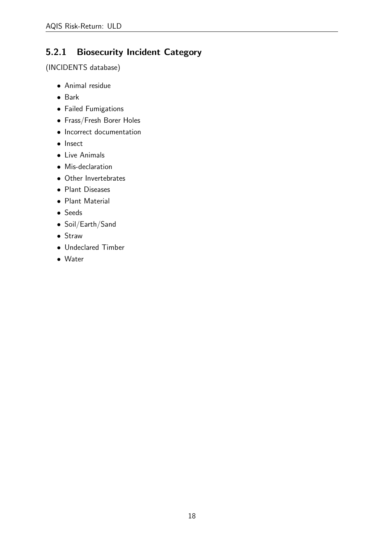### <span id="page-17-0"></span>5.2.1 Biosecurity Incident Category

(INCIDENTS database)

- Animal residue
- Bark
- Failed Fumigations
- Frass/Fresh Borer Holes
- Incorrect documentation
- Insect
- Live Animals
- Mis-declaration
- Other Invertebrates
- Plant Diseases
- Plant Material
- Seeds
- Soil/Earth/Sand
- Straw
- Undeclared Timber
- Water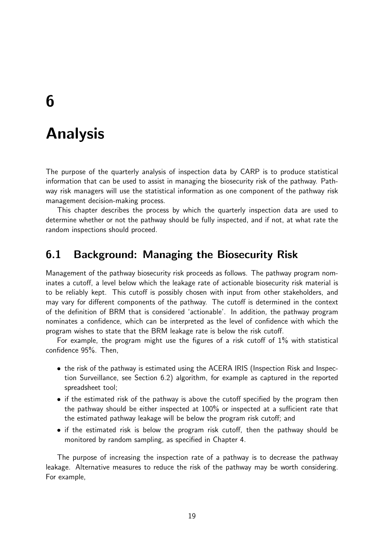# <span id="page-18-0"></span>6

## Analysis

The purpose of the quarterly analysis of inspection data by CARP is to produce statistical information that can be used to assist in managing the biosecurity risk of the pathway. Pathway risk managers will use the statistical information as one component of the pathway risk management decision-making process.

This chapter describes the process by which the quarterly inspection data are used to determine whether or not the pathway should be fully inspected, and if not, at what rate the random inspections should proceed.

### <span id="page-18-1"></span>6.1 Background: Managing the Biosecurity Risk

Management of the pathway biosecurity risk proceeds as follows. The pathway program nominates a cutoff, a level below which the leakage rate of actionable biosecurity risk material is to be reliably kept. This cutoff is possibly chosen with input from other stakeholders, and may vary for different components of the pathway. The cutoff is determined in the context of the definition of BRM that is considered 'actionable'. In addition, the pathway program nominates a confidence, which can be interpreted as the level of confidence with which the program wishes to state that the BRM leakage rate is below the risk cutoff.

For example, the program might use the figures of a risk cutoff of 1% with statistical confidence 95%. Then,

- the risk of the pathway is estimated using the ACERA IRIS (Inspection Risk and Inspection Surveillance, see Section [6.2\)](#page-19-0) algorithm, for example as captured in the reported spreadsheet tool;
- if the estimated risk of the pathway is above the cutoff specified by the program then the pathway should be either inspected at 100% or inspected at a sufficient rate that the estimated pathway leakage will be below the program risk cutoff; and
- if the estimated risk is below the program risk cutoff, then the pathway should be monitored by random sampling, as specified in Chapter [4.](#page-11-0)

The purpose of increasing the inspection rate of a pathway is to decrease the pathway leakage. Alternative measures to reduce the risk of the pathway may be worth considering. For example,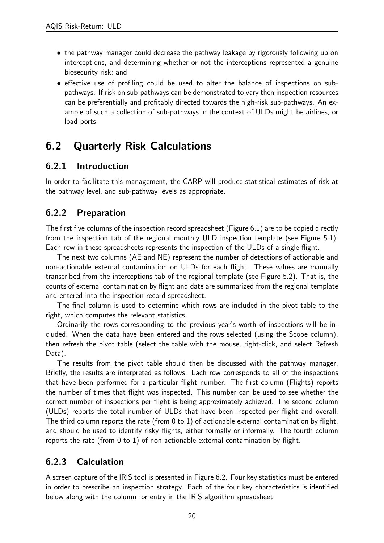- the pathway manager could decrease the pathway leakage by rigorously following up on interceptions, and determining whether or not the interceptions represented a genuine biosecurity risk; and
- effective use of profiling could be used to alter the balance of inspections on subpathways. If risk on sub-pathways can be demonstrated to vary then inspection resources can be preferentially and profitably directed towards the high-risk sub-pathways. An example of such a collection of sub-pathways in the context of ULDs might be airlines, or load ports.

## <span id="page-19-0"></span>6.2 Quarterly Risk Calculations

#### <span id="page-19-1"></span>6.2.1 Introduction

In order to facilitate this management, the CARP will produce statistical estimates of risk at the pathway level, and sub-pathway levels as appropriate.

#### <span id="page-19-2"></span>6.2.2 Preparation

The first five columns of the inspection record spreadsheet (Figure [6.1\)](#page-19-2) are to be copied directly from the inspection tab of the regional monthly ULD inspection template (see Figure [5.1\)](#page-15-3). Each row in these spreadsheets represents the inspection of the ULDs of a single flight.

The next two columns (AE and NE) represent the number of detections of actionable and non-actionable external contamination on ULDs for each flight. These values are manually transcribed from the interceptions tab of the regional template (see Figure [5.2\)](#page-16-0). That is, the counts of external contamination by flight and date are summarized from the regional template and entered into the inspection record spreadsheet.

The final column is used to determine which rows are included in the pivot table to the right, which computes the relevant statistics.

Ordinarily the rows corresponding to the previous year's worth of inspections will be included. When the data have been entered and the rows selected (using the Scope column), then refresh the pivot table (select the table with the mouse, right-click, and select Refresh Data).

The results from the pivot table should then be discussed with the pathway manager. Briefly, the results are interpreted as follows. Each row corresponds to all of the inspections that have been performed for a particular flight number. The first column (Flights) reports the number of times that flight was inspected. This number can be used to see whether the correct number of inspections per flight is being approximately achieved. The second column (ULDs) reports the total number of ULDs that have been inspected per flight and overall. The third column reports the rate (from 0 to 1) of actionable external contamination by flight, and should be used to identify risky flights, either formally or informally. The fourth column reports the rate (from 0 to 1) of non-actionable external contamination by flight.

### <span id="page-19-3"></span>6.2.3 Calculation

A screen capture of the IRIS tool is presented in Figure [6.2.](#page-21-0) Four key statistics must be entered in order to prescribe an inspection strategy. Each of the four key characteristics is identified below along with the column for entry in the IRIS algorithm spreadsheet.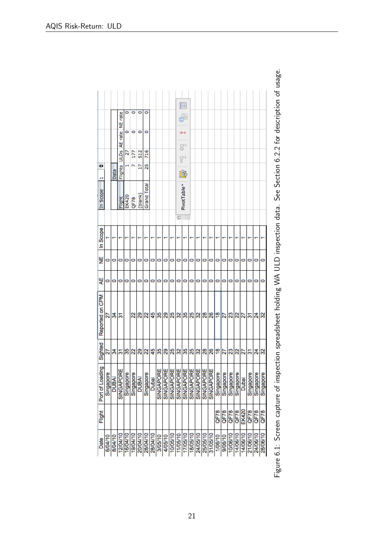|                 |           |             |                     | ٥         | ۰                       | ۰        | 0                  |       |           |           |           |           | B                                |           |           |           |           |           |                |           |           |          |           |           |           |
|-----------------|-----------|-------------|---------------------|-----------|-------------------------|----------|--------------------|-------|-----------|-----------|-----------|-----------|----------------------------------|-----------|-----------|-----------|-----------|-----------|----------------|-----------|-----------|----------|-----------|-----------|-----------|
|                 |           |             | NE rate             |           |                         |          |                    |       |           |           |           |           | r.                               |           |           |           |           |           |                |           |           |          |           |           |           |
|                 |           |             |                     | 0         | 0                       | 0        | 0                  |       |           |           |           |           |                                  |           |           |           |           |           |                |           |           |          |           |           |           |
|                 |           |             | <b>ULDs</b> AE rate | R         | 57                      | 512      | 716                |       |           |           |           |           | 말"<br><sup>다"</sup><br>nini<br>B |           |           |           |           |           |                |           |           |          |           |           |           |
| O<br>Н          |           | <b>Data</b> | Flights             |           |                         | Þ        | 25                 |       |           |           |           |           | 龠                                |           |           |           |           |           |                |           |           |          |           |           |           |
| In Scope        |           |             | <u>ilght</u>        | EK420     | QF78                    | (blank)  | <b>Grand Total</b> |       |           |           |           |           | PivotTable <sup>*</sup>          |           |           |           |           |           |                |           |           |          |           |           |           |
|                 |           |             |                     |           |                         |          |                    |       |           |           |           | C         |                                  |           |           |           |           |           |                |           |           |          |           |           |           |
| In Scope        |           |             |                     |           |                         |          |                    |       |           |           |           |           |                                  |           |           |           |           |           |                |           |           |          |           |           |           |
| 븾               | 0         | 0           | 0                   | 0         | 0                       | 0        | 0                  | 0     | 0         | 0         | 0         | 0         | 0                                | 0         | 0         | 0         | 0         | 0         | 0              | 0         | 0         | 0        | 0         | 0         | 0         |
| 닞               | 0         | 0           | 0                   | 0         | 0                       | 0        | 0                  | 0     | 0         | 0         | 0         | 0         | 0                                | 0         | 0         | 0         | 0         | 0         | 0              | 0         | 0         | 0        | 0         | 0         | 0         |
| Reported on CPM | 2         | నే          | స్                  |           | $\mathbf{z}$            | ని       | 2                  | 45    | 35        | 29        | 25        | ≋         | 35                               | 25        | ଞ୍ଜା      | 28        | 26        | ¦⊕        | $\overline{2}$ | g         | 22        | 27       | ल         | ಸೆ        | B         |
| Sighted         | ន         | నే          | స్                  | 35        | $\overline{\mathbf{z}}$ | ని       | 22                 | 45    | 35        | 29        | 25        | ≋         | 35                               | 25        | 32        | 28        | 26        | ٩B        | 22             | g         | $\approx$ | 22       | ਨ         | ಸ         | န္က       |
| Port of Loading | Singapore | DUBAI       | SINGAPORE           | Singapore | Singapore               | DUBAI    | Singapore          | Dubai | SINGAPORE | SINGAPORE | SINGAPORE | SINGAPORE | SINGAPORE                        | SINGAPORE | SINGAPORE | SINGAPORE | SINGAPORE | Singapore | Singapore      | Singapore | Singapore | Dubai    | Singapore | Singapore | Singapore |
| Flight          |           |             |                     |           |                         |          |                    |       |           |           |           |           |                                  |           |           |           |           | QF78      | QF78           | QF78      | QF78      | EK420    | QF78      | QF78      | QF78      |
| Date            | 6/04/10   | 8/04/10     | 12/04/10            | 16/04/10  | 19/04/10                | 20/04/10 | 28/04/10           |       | 3/05/10   | 4/05/10   | 10/05/10  | 11/05/10  | 17/05/10                         | 18/05/10  | 24/05/10  | 25/05/10  | 31/05/10  | 1/06/10   | 9/06/10        | 10/06/10  | 14/06/10  | 14/06/10 | 21/06/10  | 24/06/10  | 28/06/10  |

Figure 6.1: Screen capture of inspection spreadsheet holding WA ULD inspection data. See Section 6.2.2 for description of usage. Figure 6.1: Screen capture of inspection spreadsheet holding WA ULD inspection data. See Section [6.2.2](#page-19-2) for description of usage.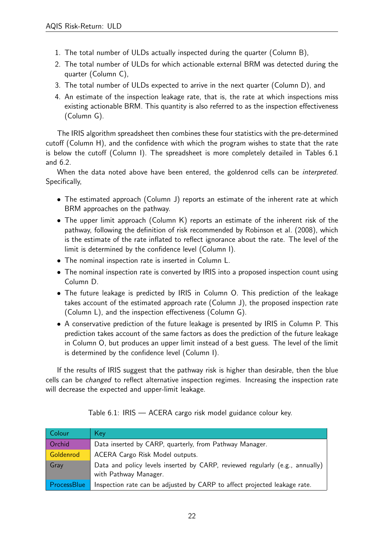- 1. The total number of ULDs actually inspected during the quarter (Column B),
- 2. The total number of ULDs for which actionable external BRM was detected during the quarter (Column C),
- 3. The total number of ULDs expected to arrive in the next quarter (Column D), and
- <span id="page-21-0"></span>4. An estimate of the inspection leakage rate, that is, the rate at which inspections miss existing actionable BRM. This quantity is also referred to as the inspection effectiveness (Column G).

The IRIS algorithm spreadsheet then combines these four statistics with the pre-determined cutoff (Column H), and the confidence with which the program wishes to state that the rate is below the cutoff (Column I). The spreadsheet is more completely detailed in Tables [6.1](#page-21-0) and [6.2.](#page-21-0)

When the data noted above have been entered, the goldenrod cells can be interpreted. Specifically,

- The estimated approach (Column J) reports an estimate of the inherent rate at which BRM approaches on the pathway.
- The upper limit approach (Column K) reports an estimate of the inherent risk of the pathway, following the definition of risk recommended by [Robinson et al.](#page-25-4) [\(2008\)](#page-25-4), which is the estimate of the rate inflated to reflect ignorance about the rate. The level of the limit is determined by the confidence level (Column I).
- The nominal inspection rate is inserted in Column L.
- The nominal inspection rate is converted by IRIS into a proposed inspection count using Column D.
- The future leakage is predicted by IRIS in Column O. This prediction of the leakage takes account of the estimated approach rate (Column J), the proposed inspection rate (Column L), and the inspection effectiveness (Column G).
- A conservative prediction of the future leakage is presented by IRIS in Column P. This prediction takes account of the same factors as does the prediction of the future leakage in Column O, but produces an upper limit instead of a best guess. The level of the limit is determined by the confidence level (Column I).

If the results of IRIS suggest that the pathway risk is higher than desirable, then the blue cells can be *changed* to reflect alternative inspection regimes. Increasing the inspection rate will decrease the expected and upper-limit leakage.

| Colour      | Key                                                                                                   |
|-------------|-------------------------------------------------------------------------------------------------------|
| Orchid      | Data inserted by CARP, quarterly, from Pathway Manager.                                               |
| Goldenrod   | ACERA Cargo Risk Model outputs.                                                                       |
| Gray        | Data and policy levels inserted by CARP, reviewed regularly (e.g., annually)<br>with Pathway Manager. |
| ProcessBlue | Inspection rate can be adjusted by CARP to affect projected leakage rate.                             |

Table 6.1: IRIS — ACERA cargo risk model guidance colour key.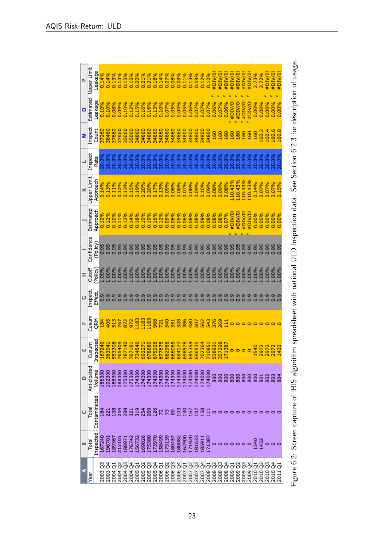| o.                       | <b>Jpper Limit</b> | eakage       | 0.14%           | 0.14%                                                                 |        |                            |        |        |        |           |         |         |        |        |        |                                                                           |        |        |        |                  |         | #DIV/0              | #DIV/0  | #DIV/0             | #DIV/0                                                             | #DIV/0                        | #DIV/0             | #DIV/0                                    | 2.73%<br>2.72% |                | #DIV/0                        | #DIV/0!<br>#DIV/0!              |   |
|--------------------------|--------------------|--------------|-----------------|-----------------------------------------------------------------------|--------|----------------------------|--------|--------|--------|-----------|---------|---------|--------|--------|--------|---------------------------------------------------------------------------|--------|--------|--------|------------------|---------|---------------------|---------|--------------------|--------------------------------------------------------------------|-------------------------------|--------------------|-------------------------------------------|----------------|----------------|-------------------------------|---------------------------------|---|
| o                        | Estimated          | Leakage      |                 | 0.10%<br>0.10%                                                        | 0.08%  |                            |        |        |        |           |         |         |        |        |        |                                                                           |        |        |        |                  |         |                     |         | $0.06%$<br>#DIV/0! |                                                                    | #DIV/0!<br>#DIV/0!<br>#DIV/0! |                    |                                           |                |                |                               | 8<br>888888<br>000000<br>000000 |   |
| z                        | nspect             | Count        | 37260           | 38460                                                                 |        |                            |        |        |        |           |         |         |        |        |        |                                                                           |        |        |        |                  | 34800   | 160                 | 160     | <b>SQ</b>          | <b>SO</b>                                                          | <b>S</b>                      | S.                 | <u>50</u>                                 | 160            |                |                               | 8888<br>8888                    |   |
|                          | inspect            | Rate         |                 |                                                                       |        |                            |        |        |        |           |         |         |        |        | 20.0%  |                                                                           |        |        |        |                  |         |                     |         |                    |                                                                    | 20.0%                         |                    | 20.0%<br>20.0%<br>20.0%<br>20.0%<br>20.0% |                |                |                               |                                 |   |
| ×                        | Upper Limit        | Approach     | 0.14%           |                                                                       |        |                            |        |        |        |           |         |         |        |        |        |                                                                           |        |        |        |                  |         |                     |         |                    | 10.43%<br>10.43%<br>10.43%% 0.07%<br>10.07%% 0.07%<br>0.07%% 0.07% |                               |                    |                                           |                |                |                               |                                 |   |
|                          | Estimated          | Approach     |                 | 0.12%                                                                 | 0.10%  | 0.11%                      | 0.12%  |        |        |           |         |         |        |        |        |                                                                           |        |        |        |                  |         | 0.08%               | 0.08%   | 0.07%              | #DIV/0!<br>#DIV/0!<br>#DIV/0!<br>#DIV/0!                           |                               |                    |                                           |                |                |                               |                                 |   |
|                          | Confidence         | Policy       |                 |                                                                       | 0.95   | 0.95                       | 0.95   | ō.     | 0.95   | 0.95      | 0.95    | 0.95    | 0.95   | 0.95   |        |                                                                           |        |        |        |                  |         |                     |         |                    |                                                                    |                               |                    |                                           |                |                |                               |                                 |   |
| Ŧ                        | Cutoff             | Policy)      | %00-T           |                                                                       |        |                            |        |        |        |           |         |         |        |        |        |                                                                           |        |        |        |                  |         |                     |         |                    |                                                                    |                               |                    |                                           |                |                |                               |                                 |   |
| U                        | nspect             | Effect       | 0.9             | $\frac{9}{2}$                                                         |        |                            |        |        |        |           |         |         |        |        |        |                                                                           |        |        |        |                  |         |                     |         |                    |                                                                    |                               |                    |                                           |                |                |                               |                                 |   |
| u.                       | <b>Tusur</b>       | QRM          | 184             | $9.768$ $8.7839$ $3.878$ $8.88$ $8.88$ $8.736$ $8.76$ $8.76$ $10$     |        |                            |        |        |        |           |         |         |        |        |        |                                                                           |        |        |        |                  |         |                     |         |                    |                                                                    |                               |                    |                                           |                |                |                               |                                 |   |
|                          |                    |              |                 |                                                                       |        |                            |        |        |        |           |         |         |        |        |        |                                                                           |        |        |        |                  |         |                     |         |                    |                                                                    |                               |                    |                                           |                |                |                               | 1540<br>2972<br>2972<br>1432    |   |
| $\overline{\phantom{0}}$ | Anticipated        | Volume       | 186300          | 192300                                                                | 188300 | 188300<br>175300<br>175300 |        |        | 174300 | 174300    | 174300  | 174300  |        |        |        | 174300<br>174300<br>174300<br>174000<br>174000<br>174000<br>174000        |        |        |        |                  | 174000  | 800                 | 800     | 800                | 800                                                                | 800                           |                    | 888                                       |                | $\overline{8}$ | 802                           | 804<br>804                      |   |
| Ü                        | Total              | Contaminated | $\frac{184}{2}$ | $\overline{21}$                                                       |        |                            |        |        |        |           |         |         |        |        |        |                                                                           |        |        |        |                  |         |                     |         |                    |                                                                    |                               |                    |                                           |                |                |                               |                                 |   |
| B                        | <b>Total</b>       | Inspected    | 167240          | 196701                                                                | 189367 | 212101                     | 188971 | 176742 | 156732 | 169826    | 175380  | 173970  | 158499 | 175139 | 180457 | 180082                                                                    | 162900 | 171920 | 181633 | 185911<br>171387 |         |                     |         |                    | 0000000                                                            |                               |                    |                                           | $\frac{54}{5}$ | $\frac{1}{4}$  |                               | $\circ$                         |   |
| ⋖                        | Year               |              |                 | 03<br>03 04 04<br>2004 04<br>2004 04<br>2004 05<br>2008 05<br>2008 05 |        |                            |        |        |        | ိ<br>2005 | 2005 Q3 | 2005 Q4 |        |        |        | 2006 Q1<br>2006 Q3<br>2006 Q4<br>2007 Q1<br>2007 Q3<br>2007 Q4<br>2007 Q4 |        |        |        |                  | 2008 Q1 | 2008 Q <sub>2</sub> | 2008 Q3 |                    | 2008 Q4<br>2009 Q1<br>2009 Q2                                      |                               | 2009 <sub>Q3</sub> | 2009 Q4                                   |                |                | 2010 Q1<br>2010 Q2<br>2010 Q3 | ठे<br>2010                      | ō |

Figure 6.2: Screen capture of IRIS algorithm spreadsheet with national ULD inspection data. See Section 6.2.3 for description of usage. Figure 6.2: Screen capture of IRIS algorithm spreadsheet with national ULD inspection data. See Section [6.2.3](#page-19-3) for description of usage.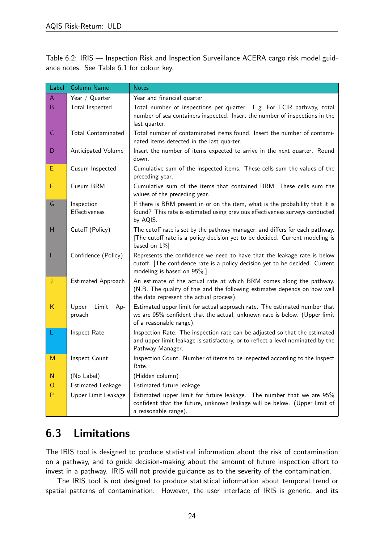Table 6.2: IRIS — Inspection Risk and Inspection Surveillance ACERA cargo risk model guidance notes. See Table [6.1](#page-21-0) for colour key.

| Label | <b>Column Name</b>              | <b>Notes</b>                                                                                                                                                                                 |
|-------|---------------------------------|----------------------------------------------------------------------------------------------------------------------------------------------------------------------------------------------|
| Α     | Year / Quarter                  | Year and financial quarter                                                                                                                                                                   |
| B     | Total Inspected                 | Total number of inspections per quarter. E.g. For ECIR pathway, total<br>number of sea containers inspected. Insert the number of inspections in the<br>last quarter.                        |
| C     | <b>Total Contaminated</b>       | Total number of contaminated items found. Insert the number of contami-<br>nated items detected in the last quarter.                                                                         |
| D     | Anticipated Volume              | Insert the number of items expected to arrive in the next quarter. Round<br>down.                                                                                                            |
| E     | Cusum Inspected                 | Cumulative sum of the inspected items. These cells sum the values of the<br>preceding year.                                                                                                  |
| F     | Cusum BRM                       | Cumulative sum of the items that contained BRM. These cells sum the<br>values of the preceding year.                                                                                         |
| G     | Inspection<br>Effectiveness     | If there is BRM present in or on the item, what is the probability that it is<br>found? This rate is estimated using previous effectiveness surveys conducted<br>by AQIS.                    |
| н     | Cutoff (Policy)                 | The cutoff rate is set by the pathway manager, and differs for each pathway.<br>[The cutoff rate is a policy decision yet to be decided. Current modeling is<br>based on $1\%$ ]             |
|       | Confidence (Policy)             | Represents the confidence we need to have that the leakage rate is below<br>cutoff. [The confidence rate is a policy decision yet to be decided. Current<br>modeling is based on 95%.]       |
| J     | Estimated Approach              | An estimate of the actual rate at which BRM comes along the pathway.<br>(N.B. The quality of this and the following estimates depends on how well<br>the data represent the actual process). |
| Κ     | Upper<br>Limit<br>Ap-<br>proach | Estimated upper limit for actual approach rate. The estimated number that<br>we are 95% confident that the actual, unknown rate is below. (Upper limit<br>of a reasonable range).            |
| L     | Inspect Rate                    | Inspection Rate. The inspection rate can be adjusted so that the estimated<br>and upper limit leakage is satisfactory, or to reflect a level nominated by the<br>Pathway Manager.            |
| M     | Inspect Count                   | Inspection Count. Number of items to be inspected according to the Inspect<br>Rate.                                                                                                          |
| N     | (No Label)                      | (Hidden column)                                                                                                                                                                              |
| O     | Estimated Leakage               | Estimated future leakage.                                                                                                                                                                    |
| P     | Upper Limit Leakage             | Estimated upper limit for future leakage. The number that we are 95%<br>confident that the future, unknown leakage will be below. (Upper limit of<br>a reasonable range).                    |

## <span id="page-23-0"></span>6.3 Limitations

The IRIS tool is designed to produce statistical information about the risk of contamination on a pathway, and to guide decision-making about the amount of future inspection effort to invest in a pathway. IRIS will not provide guidance as to the severity of the contamination.

The IRIS tool is not designed to produce statistical information about temporal trend or spatial patterns of contamination. However, the user interface of IRIS is generic, and its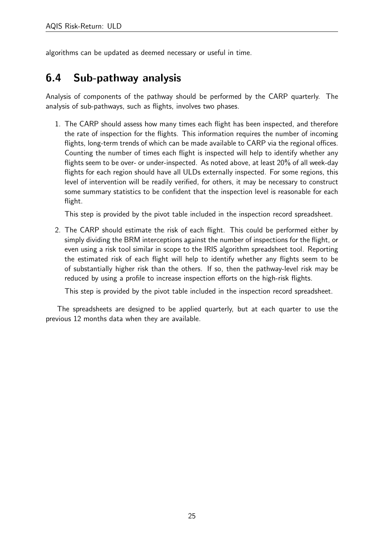algorithms can be updated as deemed necessary or useful in time.

## <span id="page-24-0"></span>6.4 Sub-pathway analysis

Analysis of components of the pathway should be performed by the CARP quarterly. The analysis of sub-pathways, such as flights, involves two phases.

1. The CARP should assess how many times each flight has been inspected, and therefore the rate of inspection for the flights. This information requires the number of incoming flights, long-term trends of which can be made available to CARP via the regional offices. Counting the number of times each flight is inspected will help to identify whether any flights seem to be over- or under-inspected. As noted above, at least 20% of all week-day flights for each region should have all ULDs externally inspected. For some regions, this level of intervention will be readily verified, for others, it may be necessary to construct some summary statistics to be confident that the inspection level is reasonable for each flight.

This step is provided by the pivot table included in the inspection record spreadsheet.

2. The CARP should estimate the risk of each flight. This could be performed either by simply dividing the BRM interceptions against the number of inspections for the flight, or even using a risk tool similar in scope to the IRIS algorithm spreadsheet tool. Reporting the estimated risk of each flight will help to identify whether any flights seem to be of substantially higher risk than the others. If so, then the pathway-level risk may be reduced by using a profile to increase inspection efforts on the high-risk flights.

This step is provided by the pivot table included in the inspection record spreadsheet.

The spreadsheets are designed to be applied quarterly, but at each quarter to use the previous 12 months data when they are available.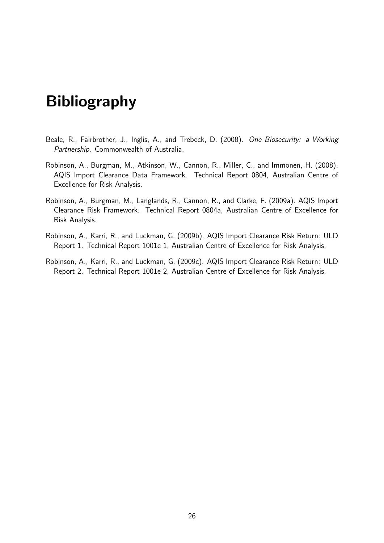# <span id="page-25-0"></span>Bibliography

- <span id="page-25-3"></span>Beale, R., Fairbrother, J., Inglis, A., and Trebeck, D. (2008). One Biosecurity: a Working Partnership. Commonwealth of Australia.
- <span id="page-25-4"></span>Robinson, A., Burgman, M., Atkinson, W., Cannon, R., Miller, C., and Immonen, H. (2008). AQIS Import Clearance Data Framework. Technical Report 0804, Australian Centre of Excellence for Risk Analysis.
- <span id="page-25-5"></span>Robinson, A., Burgman, M., Langlands, R., Cannon, R., and Clarke, F. (2009a). AQIS Import Clearance Risk Framework. Technical Report 0804a, Australian Centre of Excellence for Risk Analysis.
- <span id="page-25-2"></span>Robinson, A., Karri, R., and Luckman, G. (2009b). AQIS Import Clearance Risk Return: ULD Report 1. Technical Report 1001e 1, Australian Centre of Excellence for Risk Analysis.
- <span id="page-25-1"></span>Robinson, A., Karri, R., and Luckman, G. (2009c). AQIS Import Clearance Risk Return: ULD Report 2. Technical Report 1001e 2, Australian Centre of Excellence for Risk Analysis.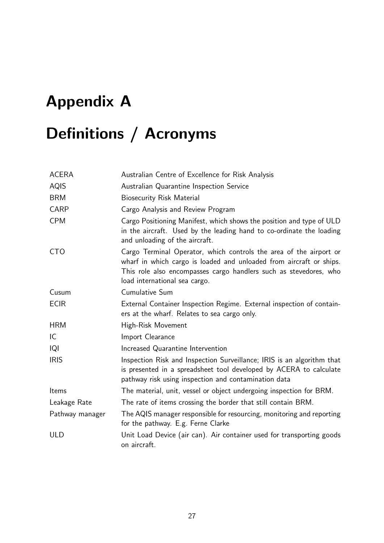# <span id="page-26-0"></span>Appendix A

# Definitions / Acronyms

| <b>ACERA</b>    | Australian Centre of Excellence for Risk Analysis                                                                                                                                                                                               |
|-----------------|-------------------------------------------------------------------------------------------------------------------------------------------------------------------------------------------------------------------------------------------------|
| <b>AQIS</b>     | Australian Quarantine Inspection Service                                                                                                                                                                                                        |
| <b>BRM</b>      | <b>Biosecurity Risk Material</b>                                                                                                                                                                                                                |
| <b>CARP</b>     | Cargo Analysis and Review Program                                                                                                                                                                                                               |
| <b>CPM</b>      | Cargo Positioning Manifest, which shows the position and type of ULD<br>in the aircraft. Used by the leading hand to co-ordinate the loading<br>and unloading of the aircraft.                                                                  |
| <b>CTO</b>      | Cargo Terminal Operator, which controls the area of the airport or<br>wharf in which cargo is loaded and unloaded from aircraft or ships.<br>This role also encompasses cargo handlers such as stevedores, who<br>load international sea cargo. |
| Cusum           | Cumulative Sum                                                                                                                                                                                                                                  |
| <b>ECIR</b>     | External Container Inspection Regime. External inspection of contain-<br>ers at the wharf. Relates to sea cargo only.                                                                                                                           |
| <b>HRM</b>      | High-Risk Movement                                                                                                                                                                                                                              |
| IC              | Import Clearance                                                                                                                                                                                                                                |
| IQI             | Increased Quarantine Intervention                                                                                                                                                                                                               |
| <b>IRIS</b>     | Inspection Risk and Inspection Surveillance; IRIS is an algorithm that<br>is presented in a spreadsheet tool developed by ACERA to calculate<br>pathway risk using inspection and contamination data                                            |
| Items           | The material, unit, vessel or object undergoing inspection for BRM.                                                                                                                                                                             |
| Leakage Rate    | The rate of items crossing the border that still contain BRM.                                                                                                                                                                                   |
| Pathway manager | The AQIS manager responsible for resourcing, monitoring and reporting<br>for the pathway. E.g. Ferne Clarke                                                                                                                                     |
| <b>ULD</b>      | Unit Load Device (air can). Air container used for transporting goods<br>on aircraft.                                                                                                                                                           |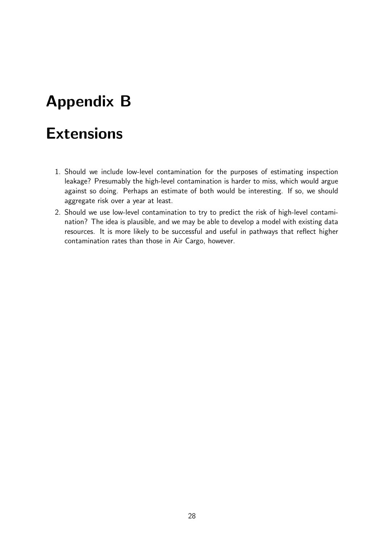# <span id="page-27-0"></span>Appendix B

# **Extensions**

- 1. Should we include low-level contamination for the purposes of estimating inspection leakage? Presumably the high-level contamination is harder to miss, which would argue against so doing. Perhaps an estimate of both would be interesting. If so, we should aggregate risk over a year at least.
- 2. Should we use low-level contamination to try to predict the risk of high-level contamination? The idea is plausible, and we may be able to develop a model with existing data resources. It is more likely to be successful and useful in pathways that reflect higher contamination rates than those in Air Cargo, however.